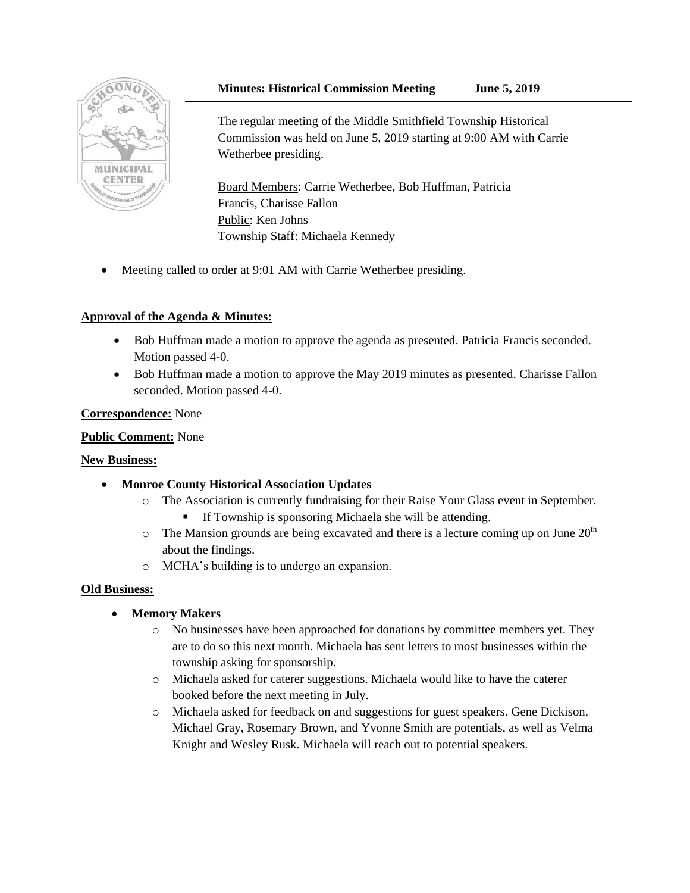## **Minutes: Historical Commission Meeting June 5, 2019**



The regular meeting of the Middle Smithfield Township Historical Commission was held on June 5, 2019 starting at 9:00 AM with Carrie Wetherbee presiding.

Board Members: Carrie Wetherbee, Bob Huffman, Patricia Francis, Charisse Fallon Public: Ken Johns Township Staff: Michaela Kennedy

Meeting called to order at 9:01 AM with Carrie Wetherbee presiding.

# **Approval of the Agenda & Minutes:**

- Bob Huffman made a motion to approve the agenda as presented. Patricia Francis seconded. Motion passed 4-0.
- Bob Huffman made a motion to approve the May 2019 minutes as presented. Charisse Fallon seconded. Motion passed 4-0.

#### **Correspondence:** None

### **Public Comment:** None

#### **New Business:**

- **Monroe County Historical Association Updates**
	- o The Association is currently fundraising for their Raise Your Glass event in September. If Township is sponsoring Michaela she will be attending.
	- $\circ$  The Mansion grounds are being excavated and there is a lecture coming up on June 20<sup>th</sup> about the findings.
	- o MCHA's building is to undergo an expansion.

#### **Old Business:**

- **Memory Makers**
	- o No businesses have been approached for donations by committee members yet. They are to do so this next month. Michaela has sent letters to most businesses within the township asking for sponsorship.
	- o Michaela asked for caterer suggestions. Michaela would like to have the caterer booked before the next meeting in July.
	- o Michaela asked for feedback on and suggestions for guest speakers. Gene Dickison, Michael Gray, Rosemary Brown, and Yvonne Smith are potentials, as well as Velma Knight and Wesley Rusk. Michaela will reach out to potential speakers.